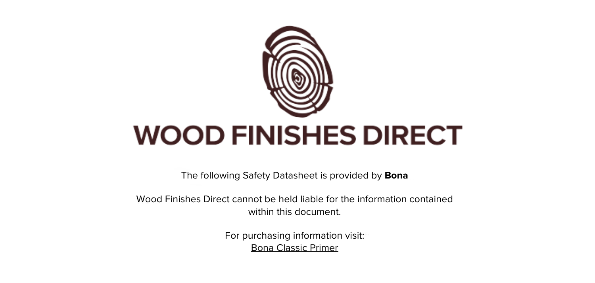

The following Safety Datasheet is provided by **Bona**

Wood Finishes Direct cannot be held liable for the information contained within this document.

> For purchasing information visit: [Bona Classic Primer](https://www.wood-finishes-direct.com/product/bona-prime-classic)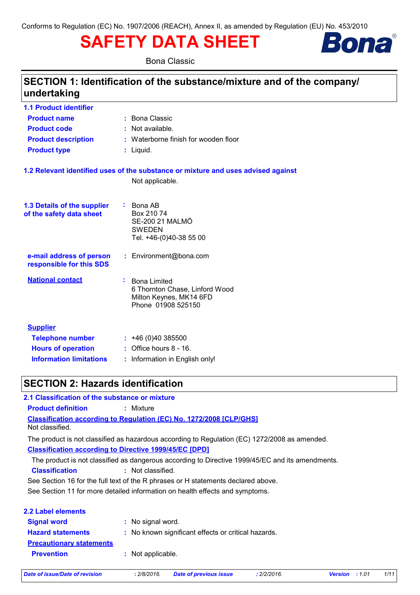# **SAFETY DATA SHEET**



**Bona Classic** 

# SECTION 1: Identification of the substance/mixture and of the company/ undertaking

| <b>1.1 Product identifier</b>                           |                                                                                                              |
|---------------------------------------------------------|--------------------------------------------------------------------------------------------------------------|
| <b>Product name</b>                                     | : Bona Classic                                                                                               |
| <b>Product code</b>                                     | : Not available.                                                                                             |
| <b>Product description</b>                              | : Waterborne finish for wooden floor                                                                         |
| <b>Product type</b>                                     | : Liquid.                                                                                                    |
|                                                         | 1.2 Relevant identified uses of the substance or mixture and uses advised against                            |
|                                                         | Not applicable.                                                                                              |
| 1.3 Details of the supplier<br>of the safety data sheet | $\therefore$ Bona AB<br>Box 210 74<br><b>SE-200 21 MALMÖ</b><br><b>SWEDEN</b><br>Tel. +46-(0)40-38 55 00     |
| e-mail address of person<br>responsible for this SDS    | : Environment@bona.com                                                                                       |
| <b>National contact</b>                                 | ÷.<br><b>Bona Limited</b><br>6 Thornton Chase, Linford Wood<br>Milton Keynes, MK14 6FD<br>Phone 01908 525150 |
| <b>Supplier</b>                                         |                                                                                                              |
| <b>Telephone number</b>                                 | : 46(0)40385500                                                                                              |
| <b>Hours of operation</b>                               | $:$ Office hours $8 - 16$ .                                                                                  |
| <b>Information limitations</b>                          | : Information in English only!                                                                               |

# **SECTION 2: Hazards identification**

### 2.1 Classification of the substance or mixture

**Product definition** : Mixture

Classification according to Regulation (EC) No. 1272/2008 [CLP/GHS]

Not classified.

The product is not classified as hazardous according to Regulation (EC) 1272/2008 as amended. **Classification according to Directive 1999/45/EC [DPD]** 

The product is not classified as dangerous according to Directive 1999/45/EC and its amendments.

**Classification** : Not classified.

See Section 16 for the full text of the R phrases or H statements declared above.

See Section 11 for more detailed information on health effects and symptoms.

| 2.2 Label elements              |                                                     |
|---------------------------------|-----------------------------------------------------|
| <b>Signal word</b>              | : No signal word.                                   |
| <b>Hazard statements</b>        | : No known significant effects or critical hazards. |
| <b>Precautionary statements</b> |                                                     |
| <b>Prevention</b>               | : Not applicable.                                   |
|                                 |                                                     |

**Date of issue/Date of revision** 

: 2/8/2016.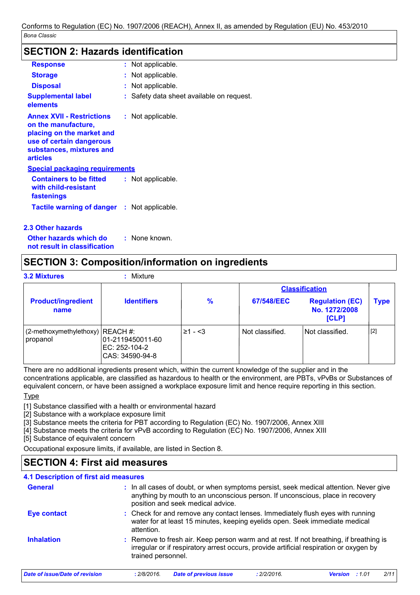### **SECTION 2: Hazards identification**

| <b>Response</b>                                                                                                                                                 | : Not applicable.                        |
|-----------------------------------------------------------------------------------------------------------------------------------------------------------------|------------------------------------------|
| <b>Storage</b>                                                                                                                                                  | : Not applicable.                        |
| <b>Disposal</b>                                                                                                                                                 | : Not applicable.                        |
| <b>Supplemental label</b><br>elements                                                                                                                           | : Safety data sheet available on request |
| <b>Annex XVII - Restrictions</b><br>on the manufacture,<br>placing on the market and<br>use of certain dangerous<br>substances, mixtures and<br><b>articles</b> | : Not applicable.                        |
| Special packaging requirements                                                                                                                                  |                                          |
| <b>Containers to be fitted</b><br>with child-resistant<br>fastenings                                                                                            | : Not applicable.                        |
| <b>Tactile warning of danger : Not applicable.</b>                                                                                                              |                                          |

### 2.3 Other hazards

Other hazards which do : None known. not result in classification

### **SECTION 3: Composition/information on ingredients**

|  | <b>3.2 Mixtures</b> |
|--|---------------------|
|  |                     |
|  |                     |

#### : Mixture

|                                                 |                                                       |               |                 | <b>Classification</b>                            |             |
|-------------------------------------------------|-------------------------------------------------------|---------------|-----------------|--------------------------------------------------|-------------|
| <b>Product/ingredient</b><br>name               | <b>Identifiers</b>                                    | $\frac{9}{6}$ | 67/548/EEC      | <b>Regulation (EC)</b><br>No. 1272/2008<br>[CLP] | <b>Type</b> |
| $(2$ -methoxymethylethoxy) REACH #:<br>propanol | 01-2119450011-60<br>EC: 252-104-2<br> CAS: 34590-94-8 | $\geq 1 - 3$  | Not classified. | Not classified.                                  | [2]         |

There are no additional ingredients present which, within the current knowledge of the supplier and in the concentrations applicable, are classified as hazardous to health or the environment, are PBTs, vPvBs or Substances of equivalent concern, or have been assigned a workplace exposure limit and hence require reporting in this section.

**Type** 

[1] Substance classified with a health or environmental hazard

[2] Substance with a workplace exposure limit

[3] Substance meets the criteria for PBT according to Regulation (EC) No. 1907/2006, Annex XIII

[4] Substance meets the criteria for vPvB according to Regulation (EC) No. 1907/2006, Annex XIII

[5] Substance of equivalent concern

Occupational exposure limits, if available, are listed in Section 8.

# **SECTION 4: First aid measures**

### 4.1 Description of first aid measures

| <b>General</b>     | : In all cases of doubt, or when symptoms persist, seek medical attention. Never give<br>anything by mouth to an unconscious person. If unconscious, place in recovery<br>position and seek medical advice. |
|--------------------|-------------------------------------------------------------------------------------------------------------------------------------------------------------------------------------------------------------|
| <b>Eye contact</b> | : Check for and remove any contact lenses. Immediately flush eyes with running<br>water for at least 15 minutes, keeping eyelids open. Seek immediate medical<br>attention.                                 |
| <b>Inhalation</b>  | : Remove to fresh air. Keep person warm and at rest. If not breathing, if breathing is<br>irregular or if respiratory arrest occurs, provide artificial respiration or oxygen by<br>trained personnel.      |

**Date of issue/Date of revision**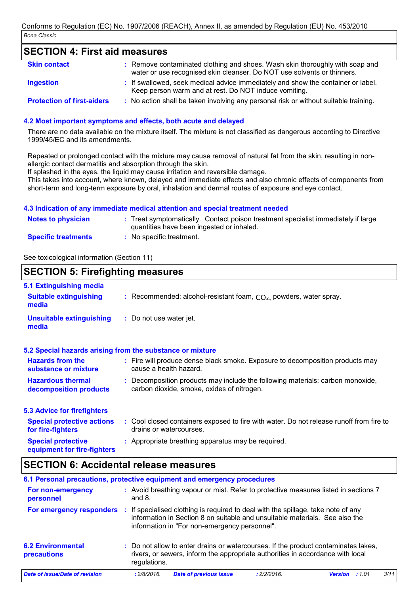### **SECTION 4: First aid measures**

| <b>Skin contact</b>               | : Remove contaminated clothing and shoes. Wash skin thoroughly with soap and<br>water or use recognised skin cleanser. Do NOT use solvents or thinners. |
|-----------------------------------|---------------------------------------------------------------------------------------------------------------------------------------------------------|
| <b>Ingestion</b>                  | : If swallowed, seek medical advice immediately and show the container or label.<br>Keep person warm and at rest. Do NOT induce vomiting.               |
| <b>Protection of first-aiders</b> | : No action shall be taken involving any personal risk or without suitable training.                                                                    |

### 4.2 Most important symptoms and effects, both acute and delayed

There are no data available on the mixture itself. The mixture is not classified as dangerous according to Directive 1999/45/EC and its amendments.

Repeated or prolonged contact with the mixture may cause removal of natural fat from the skin, resulting in nonallergic contact dermatitis and absorption through the skin.

If splashed in the eyes, the liquid may cause irritation and reversible damage.

This takes into account, where known, delayed and immediate effects and also chronic effects of components from short-term and long-term exposure by oral, inhalation and dermal routes of exposure and eye contact.

#### 4.3 Indication of any immediate medical attention and special treatment needed

| <b>Notes to physician</b>  | : Treat symptomatically. Contact poison treatment specialist immediately if large<br>quantities have been ingested or inhaled. |
|----------------------------|--------------------------------------------------------------------------------------------------------------------------------|
| <b>Specific treatments</b> | : No specific treatment.                                                                                                       |

See toxicological information (Section 11)

### **SECTION 5: Firefighting measures**

| 5.1 Extinguishing media                                   |                                                                                                                              |
|-----------------------------------------------------------|------------------------------------------------------------------------------------------------------------------------------|
| <b>Suitable extinguishing</b><br>media                    | : Recommended: alcohol-resistant foam, $CO2$ , powders, water spray.                                                         |
| <b>Unsuitable extinguishing</b><br>media                  | : Do not use water jet.                                                                                                      |
| 5.2 Special hazards arising from the substance or mixture |                                                                                                                              |
| <b>Hazards from the</b><br>substance or mixture           | : Fire will produce dense black smoke. Exposure to decomposition products may<br>cause a health hazard.                      |
| <b>Hazardous thermal</b><br>decomposition products        | : Decomposition products may include the following materials: carbon monoxide,<br>carbon dioxide, smoke, oxides of nitrogen. |
| <b>5.3 Advice for firefighters</b>                        |                                                                                                                              |
| <b>Special protective actions</b><br>for fire-fighters    | : Cool closed containers exposed to fire with water. Do not release runoff from fire to<br>drains or watercourses.           |
| <b>Special protective</b>                                 | : Appropriate breathing apparatus may be required.                                                                           |

equipment for fire-fighters

### **SECTION 6: Accidental release measures**

| 6.1 Personal precautions, protective equipment and emergency procedures |              |                                                                                                                                                                                                                   |             |                       |     |
|-------------------------------------------------------------------------|--------------|-------------------------------------------------------------------------------------------------------------------------------------------------------------------------------------------------------------------|-------------|-----------------------|-----|
| For non-emergency<br>personnel                                          | and $8.$     | : Avoid breathing vapour or mist. Refer to protective measures listed in sections 7                                                                                                                               |             |                       |     |
| For emergency responders                                                |              | : If specialised clothing is required to deal with the spillage, take note of any<br>information in Section 8 on suitable and unsuitable materials. See also the<br>information in "For non-emergency personnel". |             |                       |     |
| <b>6.2 Environmental</b><br>precautions                                 | regulations. | : Do not allow to enter drains or watercourses. If the product contaminates lakes,<br>rivers, or sewers, inform the appropriate authorities in accordance with local                                              |             |                       |     |
| Date of issue/Date of revision                                          | : 2/8/2016.  | <b>Date of previous issue</b>                                                                                                                                                                                     | : 2/2/2016. | <b>Version</b> : 1.01 | 3/1 |
|                                                                         |              |                                                                                                                                                                                                                   |             |                       |     |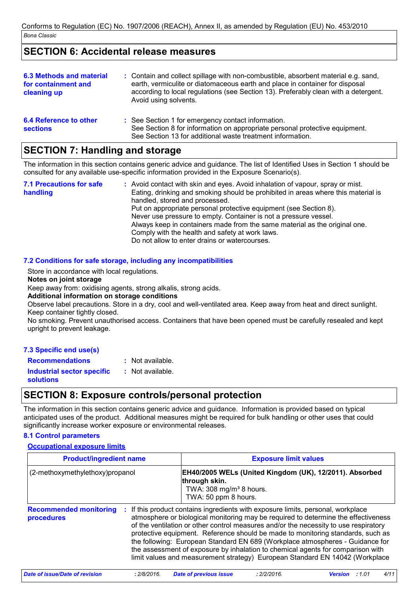# **SECTION 6: Accidental release measures**

| 6.3 Methods and material<br>for containment and<br>cleaning up | : Contain and collect spillage with non-combustible, absorbent material e.g. sand,<br>earth, vermiculite or diatomaceous earth and place in container for disposal<br>according to local regulations (see Section 13). Preferably clean with a detergent.<br>Avoid using solvents. |
|----------------------------------------------------------------|------------------------------------------------------------------------------------------------------------------------------------------------------------------------------------------------------------------------------------------------------------------------------------|
| <b>6.4 Reference to other</b><br><b>sections</b>               | : See Section 1 for emergency contact information.<br>See Section 8 for information on appropriate personal protective equipment.<br>See Section 13 for additional waste treatment information.                                                                                    |

# **SECTION 7: Handling and storage**

The information in this section contains generic advice and quidance. The list of Identified Uses in Section 1 should be consulted for any available use-specific information provided in the Exposure Scenario(s).

**7.1 Precautions for safe** : Avoid contact with skin and eves. Avoid inhalation of vapour, spray or mist. handling Eating, drinking and smoking should be prohibited in areas where this material is handled, stored and processed. Put on appropriate personal protective equipment (see Section 8). Never use pressure to empty. Container is not a pressure vessel. Always keep in containers made from the same material as the original one. Comply with the health and safety at work laws. Do not allow to enter drains or watercourses.

### 7.2 Conditions for safe storage, including any incompatibilities

Store in accordance with local regulations.

#### Notes on joint storage

Keep away from: oxidising agents, strong alkalis, strong acids.

#### Additional information on storage conditions

Observe label precautions. Store in a dry, cool and well-ventilated area. Keep away from heat and direct sunlight. Keep container tightly closed.

No smoking. Prevent unauthorised access. Containers that have been opened must be carefully resealed and kept upright to prevent leakage.

### 7.3 Specific end use(s)

**Recommendations** : Not available. **Industrial sector specific** : Not available. **solutions** 

# **SECTION 8: Exposure controls/personal protection**

The information in this section contains generic advice and quidance. Information is provided based on typical anticipated uses of the product. Additional measures might be required for bulk handling or other uses that could significantly increase worker exposure or environmental releases.

### **8.1 Control parameters**

**Occupational exposure limits** 

| <b>Product/ingredient name</b>                   | <b>Exposure limit values</b>                                                                                                                                                                                                                                                                                                                                                                                                                                                                                                                                                                        |  |  |  |
|--------------------------------------------------|-----------------------------------------------------------------------------------------------------------------------------------------------------------------------------------------------------------------------------------------------------------------------------------------------------------------------------------------------------------------------------------------------------------------------------------------------------------------------------------------------------------------------------------------------------------------------------------------------------|--|--|--|
| (2-methoxymethylethoxy)propanol                  | EH40/2005 WELs (United Kingdom (UK), 12/2011). Absorbed<br>through skin.<br>TWA: 308 mg/m <sup>3</sup> 8 hours.<br>TWA: 50 ppm 8 hours.                                                                                                                                                                                                                                                                                                                                                                                                                                                             |  |  |  |
| <b>Recommended monitoring</b><br>÷<br>procedures | If this product contains ingredients with exposure limits, personal, workplace<br>atmosphere or biological monitoring may be required to determine the effectiveness<br>of the ventilation or other control measures and/or the necessity to use respiratory<br>protective equipment. Reference should be made to monitoring standards, such as<br>the following: European Standard EN 689 (Workplace atmospheres - Guidance for<br>the assessment of exposure by inhalation to chemical agents for comparison with<br>limit values and measurement strategy) European Standard EN 14042 (Workplace |  |  |  |
| Mada afilmana (Mada afilminiaia)<br>0.000000     | 0.000000<br>$\frac{1}{2}$<br>Bata af annulaus issus -                                                                                                                                                                                                                                                                                                                                                                                                                                                                                                                                               |  |  |  |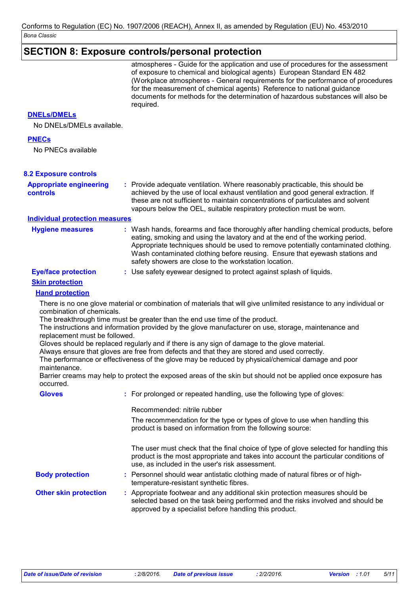# $|\mathsf{SECTION\ 8}\colon \mathsf{Exposure\ controls/personal\ protection}$

|                                                            | atmospheres - Guide for the application and use of procedures for the assessment<br>of exposure to chemical and biological agents) European Standard EN 482<br>(Workplace atmospheres - General requirements for the performance of procedures<br>for the measurement of chemical agents) Reference to national guidance<br>documents for methods for the determination of hazardous substances will also be<br>required. |
|------------------------------------------------------------|---------------------------------------------------------------------------------------------------------------------------------------------------------------------------------------------------------------------------------------------------------------------------------------------------------------------------------------------------------------------------------------------------------------------------|
| <b>DNELS/DMELS</b>                                         |                                                                                                                                                                                                                                                                                                                                                                                                                           |
| No DNELs/DMELs available.                                  |                                                                                                                                                                                                                                                                                                                                                                                                                           |
| <b>PNECs</b>                                               |                                                                                                                                                                                                                                                                                                                                                                                                                           |
| No PNECs available                                         |                                                                                                                                                                                                                                                                                                                                                                                                                           |
| <b>8.2 Exposure controls</b>                               |                                                                                                                                                                                                                                                                                                                                                                                                                           |
| <b>Appropriate engineering</b><br>controls                 | : Provide adequate ventilation. Where reasonably practicable, this should be<br>achieved by the use of local exhaust ventilation and good general extraction. If<br>these are not sufficient to maintain concentrations of particulates and solvent<br>vapours below the OEL, suitable respiratory protection must be worn.                                                                                               |
| <b>Individual protection measures</b>                      |                                                                                                                                                                                                                                                                                                                                                                                                                           |
| <b>Hygiene measures</b>                                    | : Wash hands, forearms and face thoroughly after handling chemical products, before<br>eating, smoking and using the lavatory and at the end of the working period.<br>Appropriate techniques should be used to remove potentially contaminated clothing.<br>Wash contaminated clothing before reusing. Ensure that eyewash stations and<br>safety showers are close to the workstation location.                         |
| <b>Eye/face protection</b>                                 | : Use safety eyewear designed to protect against splash of liquids.                                                                                                                                                                                                                                                                                                                                                       |
| <b>Skin protection</b>                                     |                                                                                                                                                                                                                                                                                                                                                                                                                           |
| <b>Hand protection</b>                                     |                                                                                                                                                                                                                                                                                                                                                                                                                           |
| combination of chemicals.<br>replacement must be followed. | There is no one glove material or combination of materials that will give unlimited resistance to any individual or<br>The breakthrough time must be greater than the end use time of the product.<br>The instructions and information provided by the glove manufacturer on use, storage, maintenance and<br>Gloves should be replaced regularly and if there is any sign of damage to the glove material.               |
|                                                            | Always ensure that gloves are free from defects and that they are stored and used correctly.<br>The performance or effectiveness of the glove may be reduced by physical/chemical damage and poor                                                                                                                                                                                                                         |
| maintenance.<br>occurred.                                  | Barrier creams may help to protect the exposed areas of the skin but should not be applied once exposure has                                                                                                                                                                                                                                                                                                              |
| <b>Gloves</b>                                              | : For prolonged or repeated handling, use the following type of gloves:                                                                                                                                                                                                                                                                                                                                                   |
|                                                            | Recommended: nitrile rubber                                                                                                                                                                                                                                                                                                                                                                                               |
|                                                            | The recommendation for the type or types of glove to use when handling this<br>product is based on information from the following source:                                                                                                                                                                                                                                                                                 |
|                                                            | The user must check that the final choice of type of glove selected for handling this<br>product is the most appropriate and takes into account the particular conditions of<br>use, as included in the user's risk assessment.                                                                                                                                                                                           |
| <b>Body protection</b>                                     | : Personnel should wear antistatic clothing made of natural fibres or of high-<br>temperature-resistant synthetic fibres.                                                                                                                                                                                                                                                                                                 |
| <b>Other skin protection</b>                               | : Appropriate footwear and any additional skin protection measures should be<br>selected based on the task being performed and the risks involved and should be<br>approved by a specialist before handling this product.                                                                                                                                                                                                 |
|                                                            |                                                                                                                                                                                                                                                                                                                                                                                                                           |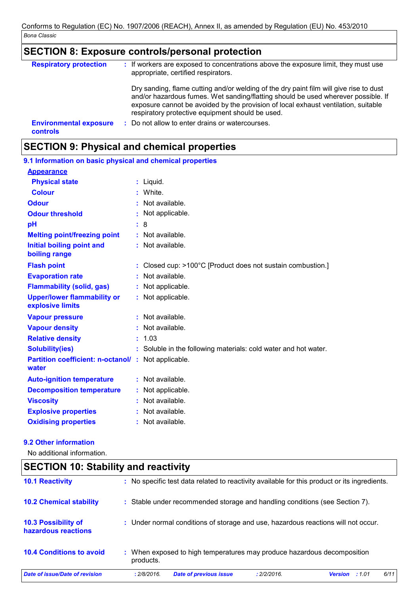# SECTION 8: Exposure controls/personal protection

| <b>Respiratory protection</b>                    | : If workers are exposed to concentrations above the exposure limit, they must use<br>appropriate, certified respirators.                                                                                                                                                                                             |
|--------------------------------------------------|-----------------------------------------------------------------------------------------------------------------------------------------------------------------------------------------------------------------------------------------------------------------------------------------------------------------------|
|                                                  | Dry sanding, flame cutting and/or welding of the dry paint film will give rise to dust<br>and/or hazardous fumes. Wet sanding/flatting should be used wherever possible. If<br>exposure cannot be avoided by the provision of local exhaust ventilation, suitable<br>respiratory protective equipment should be used. |
| <b>Environmental exposure</b><br><b>controls</b> | : Do not allow to enter drains or watercourses.                                                                                                                                                                                                                                                                       |

# **SECTION 9: Physical and chemical properties**

| 9.1 Information on basic physical and chemical properties |    |                                                                 |
|-----------------------------------------------------------|----|-----------------------------------------------------------------|
| <b>Appearance</b>                                         |    |                                                                 |
| <b>Physical state</b>                                     |    | $:$ Liquid.                                                     |
| <b>Colour</b>                                             |    | : White.                                                        |
| <b>Odour</b>                                              |    | : Not available.                                                |
| <b>Odour threshold</b>                                    |    | : Not applicable.                                               |
| pH                                                        |    | : 8                                                             |
| <b>Melting point/freezing point</b>                       |    | $:$ Not available.                                              |
| <b>Initial boiling point and</b><br>boiling range         |    | $:$ Not available.                                              |
| <b>Flash point</b>                                        |    | : Closed cup: >100°C [Product does not sustain combustion.]     |
| <b>Evaporation rate</b>                                   |    | : Not available.                                                |
| <b>Flammability (solid, gas)</b>                          |    | : Not applicable.                                               |
| <b>Upper/lower flammability or</b><br>explosive limits    |    | : Not applicable.                                               |
| <b>Vapour pressure</b>                                    |    | $:$ Not available.                                              |
| <b>Vapour density</b>                                     |    | : Not available.                                                |
| <b>Relative density</b>                                   | ÷. | 1.03                                                            |
| <b>Solubility(ies)</b>                                    |    | : Soluble in the following materials: cold water and hot water. |
| <b>Partition coefficient: n-octanol/:</b><br>water        |    | Not applicable.                                                 |
| <b>Auto-ignition temperature</b>                          |    | : Not available.                                                |
| <b>Decomposition temperature</b>                          |    | : Not applicable.                                               |
| <b>Viscosity</b>                                          |    | $:$ Not available.                                              |
| <b>Explosive properties</b>                               |    | : Not available.                                                |
| <b>Oxidising properties</b>                               |    | : Not available.                                                |

### 9.2 Other information

No additional information.

| <b>SECTION 10: Stability and reactivity</b>       |                                                                                                |  |  |  |
|---------------------------------------------------|------------------------------------------------------------------------------------------------|--|--|--|
| <b>10.1 Reactivity</b>                            | : No specific test data related to reactivity available for this product or its ingredients.   |  |  |  |
| <b>10.2 Chemical stability</b>                    | : Stable under recommended storage and handling conditions (see Section 7).                    |  |  |  |
| <b>10.3 Possibility of</b><br>hazardous reactions | : Under normal conditions of storage and use, hazardous reactions will not occur.              |  |  |  |
| <b>10.4 Conditions to avoid</b>                   | : When exposed to high temperatures may produce hazardous decomposition<br>products.           |  |  |  |
| <b>Date of issue/Date of revision</b>             | 6/11<br>: 2/8/2016.<br><b>Date of previous issue</b><br>: 2/2/2016.<br><b>Version</b><br>:1.01 |  |  |  |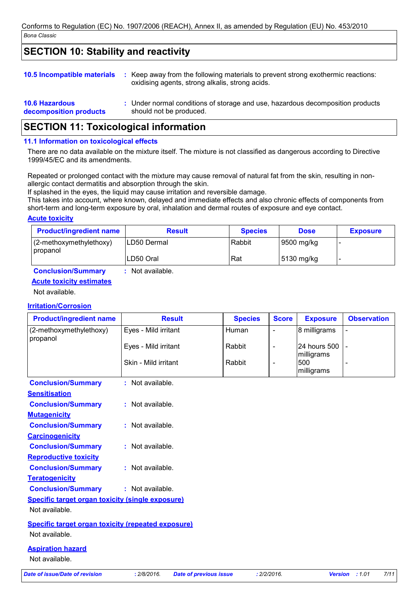# **SECTION 10: Stability and reactivity**

| <b>10.5 Incompatible materials</b>              | ÷. | Keep away from the following materials to prevent strong exothermic reactions:<br>oxidising agents, strong alkalis, strong acids. |
|-------------------------------------------------|----|-----------------------------------------------------------------------------------------------------------------------------------|
| <b>10.6 Hazardous</b><br>decomposition products |    | : Under normal conditions of storage and use, hazardous decomposition products<br>should not be produced.                         |

# **SECTION 11: Toxicological information**

#### 11.1 Information on toxicological effects

There are no data available on the mixture itself. The mixture is not classified as dangerous according to Directive 1999/45/EC and its amendments.

Repeated or prolonged contact with the mixture may cause removal of natural fat from the skin, resulting in nonallergic contact dermatitis and absorption through the skin.

If splashed in the eyes, the liquid may cause irritation and reversible damage.

: Not available.

This takes into account, where known, delayed and immediate effects and also chronic effects of components from short-term and long-term exposure by oral, inhalation and dermal routes of exposure and eve contact.

### **Acute toxicity**

| <b>Product/ingredient name</b>         | <b>Result</b> | <b>Species</b> | <b>Dose</b> | <b>Exposure</b> |
|----------------------------------------|---------------|----------------|-------------|-----------------|
| $(2$ -methoxymethylethoxy)<br>propanol | ILD50 Dermal  | Rabbit         | 9500 mg/kg  |                 |
|                                        | LD50 Oral     | Rat            | 5130 mg/kg  |                 |

### **Conclusion/Summary Acute toxicity estimates**

Not available.

### **Irritation/Corrosion**

| <b>Product/ingredient name</b>                            | <b>Result</b>        | <b>Species</b> | <b>Score</b>             | <b>Exposure</b>            | <b>Observation</b>       |
|-----------------------------------------------------------|----------------------|----------------|--------------------------|----------------------------|--------------------------|
| (2-methoxymethylethoxy)<br>propanol                       | Eyes - Mild irritant | Human          | $\frac{1}{2}$            | 8 milligrams               |                          |
|                                                           | Eyes - Mild irritant | Rabbit         | $\overline{\phantom{a}}$ | 24 hours 500<br>milligrams |                          |
|                                                           | Skin - Mild irritant | Rabbit         | $\overline{\phantom{a}}$ | 500<br>milligrams          | $\overline{\phantom{0}}$ |
| <b>Conclusion/Summary</b>                                 | $:$ Not available.   |                |                          |                            |                          |
| <b>Sensitisation</b>                                      |                      |                |                          |                            |                          |
| <b>Conclusion/Summary</b>                                 | $:$ Not available.   |                |                          |                            |                          |
| <b>Mutagenicity</b>                                       |                      |                |                          |                            |                          |
| <b>Conclusion/Summary</b>                                 | : Not available.     |                |                          |                            |                          |
| <b>Carcinogenicity</b>                                    |                      |                |                          |                            |                          |
| <b>Conclusion/Summary</b>                                 | $:$ Not available.   |                |                          |                            |                          |
| <b>Reproductive toxicity</b>                              |                      |                |                          |                            |                          |
| <b>Conclusion/Summary</b>                                 | : Not available.     |                |                          |                            |                          |
| <b>Teratogenicity</b>                                     |                      |                |                          |                            |                          |
| <b>Conclusion/Summary</b>                                 | : Not available.     |                |                          |                            |                          |
| Specific target organ toxicity (single exposure)          |                      |                |                          |                            |                          |
| Not available.                                            |                      |                |                          |                            |                          |
| <b>Specific target organ toxicity (repeated exposure)</b> |                      |                |                          |                            |                          |
| Not available.                                            |                      |                |                          |                            |                          |
| <b>Aspiration hazard</b>                                  |                      |                |                          |                            |                          |
| Not available.                                            |                      |                |                          |                            |                          |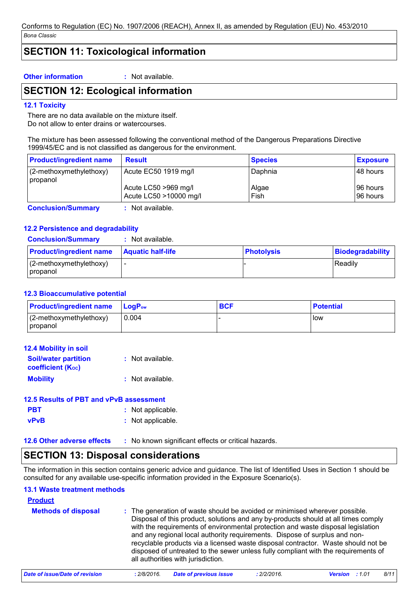# **SECTION 11: Toxicological information**

#### **Other information**

: Not available.

### **SECTION 12: Ecological information**

#### **12.1 Toxicity**

There are no data available on the mixture itself. Do not allow to enter drains or watercourses.

The mixture has been assessed following the conventional method of the Dangerous Preparations Directive 1999/45/EC and is not classified as dangerous for the environment.

| <b>Product/ingredient name</b>        | <b>Result</b>                                  | <b>Species</b> | <b>Exposure</b>        |
|---------------------------------------|------------------------------------------------|----------------|------------------------|
| $(2-methoxymethylethoxy)$<br>propanol | Acute EC50 1919 mg/l                           | Daphnia        | I48 hours              |
|                                       | Acute LC50 >969 mg/l<br>Acute LC50 >10000 mg/l | Algae<br>Fish  | 196 hours<br>I96 hours |
| <b>Conclusion/Summary</b>             | Not available.                                 |                |                        |

**Conclusion/Summary** 

### 12.2 Persistence and degradability

**Conclusion/Summary** : Not available.

| <b>Product/ingredient name</b>         | <b>Aquatic half-life</b> | <b>Photolysis</b> | Biodegradability |
|----------------------------------------|--------------------------|-------------------|------------------|
| $(2$ -methoxymethylethoxy)<br>propanol |                          |                   | Readily          |

#### **12.3 Bioaccumulative potential**

| <b>Product/ingredient name</b>    | <b>LogP</b> <sub>ow</sub> | <b>BCF</b> | <b>Potential</b> |
|-----------------------------------|---------------------------|------------|------------------|
| $(2-methoxy methodk)$<br>propanol | 0.004                     |            | <b>low</b>       |

| <b>12.4 Mobility in soil</b>                            |                  |
|---------------------------------------------------------|------------------|
| <b>Soil/water partition</b><br><b>coefficient (Koc)</b> | : Not available. |
| <b>Mobility</b>                                         | : Not available. |

### 12.5 Results of PBT and vPvB assessment

- **PBT** : Not applicable.
- **vPvB** : Not applicable.

12.6 Other adverse effects : No known significant effects or critical hazards.

### **SECTION 13: Disposal considerations**

The information in this section contains generic advice and quidance. The list of Identified Uses in Section 1 should be consulted for any available use-specific information provided in the Exposure Scenario(s).

### 13.1 Waste treatment methods

### **Product**

| <b>Methods of disposal</b> | : The generation of waste should be avoided or minimised wherever possible.<br>Disposal of this product, solutions and any by-products should at all times comply<br>with the requirements of environmental protection and waste disposal legislation<br>and any regional local authority requirements. Dispose of surplus and non-<br>recyclable products via a licensed waste disposal contractor. Waste should not be<br>disposed of untreated to the sewer unless fully compliant with the requirements of<br>all authorities with jurisdiction. |
|----------------------------|------------------------------------------------------------------------------------------------------------------------------------------------------------------------------------------------------------------------------------------------------------------------------------------------------------------------------------------------------------------------------------------------------------------------------------------------------------------------------------------------------------------------------------------------------|
|----------------------------|------------------------------------------------------------------------------------------------------------------------------------------------------------------------------------------------------------------------------------------------------------------------------------------------------------------------------------------------------------------------------------------------------------------------------------------------------------------------------------------------------------------------------------------------------|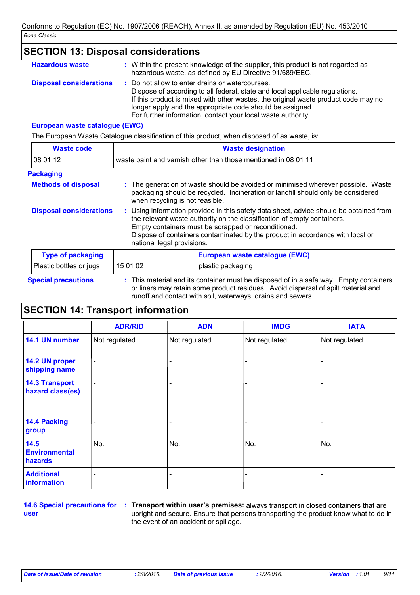| <b>SECTION 13: Disposal considerations</b>                                                  |                                                                                                                                                                                                                                                                                                                                                        |  |  |  |
|---------------------------------------------------------------------------------------------|--------------------------------------------------------------------------------------------------------------------------------------------------------------------------------------------------------------------------------------------------------------------------------------------------------------------------------------------------------|--|--|--|
| <b>Hazardous waste</b>                                                                      | : Within the present knowledge of the supplier, this product is not regarded as<br>hazardous waste, as defined by EU Directive 91/689/EEC.                                                                                                                                                                                                             |  |  |  |
| <b>Disposal considerations</b>                                                              | Do not allow to enter drains or watercourses.<br>t.<br>Dispose of according to all federal, state and local applicable regulations.<br>If this product is mixed with other wastes, the original waste product code may no<br>longer apply and the appropriate code should be assigned.<br>For further information, contact your local waste authority. |  |  |  |
| European waste catalogue (EWC)                                                              |                                                                                                                                                                                                                                                                                                                                                        |  |  |  |
| The European Waste Catalogue classification of this product, when disposed of as waste, is: |                                                                                                                                                                                                                                                                                                                                                        |  |  |  |
| <b>Waste code</b>                                                                           | <b>Waste designation</b>                                                                                                                                                                                                                                                                                                                               |  |  |  |
| 08 01 12                                                                                    | waste paint and varnish other than those mentioned in 08 01 11                                                                                                                                                                                                                                                                                         |  |  |  |
| <b>Packaging</b>                                                                            |                                                                                                                                                                                                                                                                                                                                                        |  |  |  |
| <b>Methods of disposal</b>                                                                  | : The generation of waste should be avoided or minimised wherever possible. Waste<br>packaging should be recycled. Incineration or landfill should only be considered<br>when recycling is not feasible.                                                                                                                                               |  |  |  |
| <b>Disposal considerations</b>                                                              | Using information provided in this safety data sheet, advice should be obtained from<br>ř.<br>the relevant waste authority on the classification of empty containers.<br>Empty containers must be scrapped or reconditioned.<br>Dispose of containers contaminated by the product in accordance with local or<br>national legal provisions.            |  |  |  |
| <b>Type of packaging</b>                                                                    | European waste catalogue (EWC)                                                                                                                                                                                                                                                                                                                         |  |  |  |
| Plastic bottles or jugs                                                                     | 15 01 02<br>plastic packaging                                                                                                                                                                                                                                                                                                                          |  |  |  |
| <b>Special precautions</b>                                                                  | : This material and its container must be disposed of in a safe way. Empty containers<br>or liners may retain some product residues. Avoid dispersal of spilt material and<br>runoff and contact with soil, waterways, drains and sewers.                                                                                                              |  |  |  |

# **SECTION 14: Transport information**

|                                           | <b>ADR/RID</b>           | <b>ADN</b>               | <b>IMDG</b>    | <b>IATA</b>    |
|-------------------------------------------|--------------------------|--------------------------|----------------|----------------|
| 14.1 UN number                            | Not regulated.           | Not regulated.           | Not regulated. | Not regulated. |
| 14.2 UN proper<br>shipping name           | $\overline{\phantom{a}}$ | $\overline{\phantom{a}}$ |                |                |
| <b>14.3 Transport</b><br>hazard class(es) |                          | $\overline{\phantom{a}}$ |                |                |
| <b>14.4 Packing</b><br>group              |                          |                          |                |                |
| 14.5<br><b>Environmental</b><br>hazards   | No.                      | No.                      | No.            | No.            |
| <b>Additional</b><br>information          |                          |                          |                |                |

user

14.6 Special precautions for : Transport within user's premises: always transport in closed containers that are upright and secure. Ensure that persons transporting the product know what to do in the event of an accident or spillage.

 $9/11$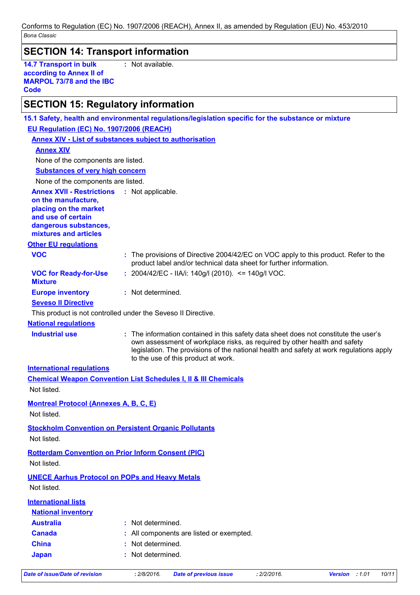Conforms to Regulation (EC) No. 1907/2006 (REACH), Annex II, as amended by Regulation (EU) No. 453/2010 Bona Classic

# **SECTION 14: Transport information**

14.7 Transport in bulk according to Annex II of **MARPOL 73/78 and the IBC Code** 

: Not available.

# $|SFCTION 15$ : Requiatory information

|                                                                                                                                                                            | 15.1 Safety, health and environmental regulations/legislation specific for the substance or mixture                                                                                                                                                                                                 |
|----------------------------------------------------------------------------------------------------------------------------------------------------------------------------|-----------------------------------------------------------------------------------------------------------------------------------------------------------------------------------------------------------------------------------------------------------------------------------------------------|
| EU Regulation (EC) No. 1907/2006 (REACH)                                                                                                                                   |                                                                                                                                                                                                                                                                                                     |
|                                                                                                                                                                            | <b>Annex XIV - List of substances subject to authorisation</b>                                                                                                                                                                                                                                      |
| <b>Annex XIV</b>                                                                                                                                                           |                                                                                                                                                                                                                                                                                                     |
| None of the components are listed.                                                                                                                                         |                                                                                                                                                                                                                                                                                                     |
| <b>Substances of very high concern</b>                                                                                                                                     |                                                                                                                                                                                                                                                                                                     |
| None of the components are listed.                                                                                                                                         |                                                                                                                                                                                                                                                                                                     |
| <b>Annex XVII - Restrictions : Not applicable.</b><br>on the manufacture,<br>placing on the market<br>and use of certain<br>dangerous substances,<br>mixtures and articles |                                                                                                                                                                                                                                                                                                     |
| <b>Other EU regulations</b>                                                                                                                                                |                                                                                                                                                                                                                                                                                                     |
| <b>VOC</b>                                                                                                                                                                 | : The provisions of Directive 2004/42/EC on VOC apply to this product. Refer to the<br>product label and/or technical data sheet for further information.                                                                                                                                           |
| <b>VOC for Ready-for-Use</b><br><b>Mixture</b>                                                                                                                             | : 2004/42/EC - IIA/i: 140g/l (2010). <= 140g/l VOC.                                                                                                                                                                                                                                                 |
| <b>Europe inventory</b>                                                                                                                                                    | : Not determined.                                                                                                                                                                                                                                                                                   |
| <b>Seveso II Directive</b>                                                                                                                                                 |                                                                                                                                                                                                                                                                                                     |
|                                                                                                                                                                            | This product is not controlled under the Seveso II Directive.                                                                                                                                                                                                                                       |
| <b>National regulations</b>                                                                                                                                                |                                                                                                                                                                                                                                                                                                     |
| <b>Industrial use</b>                                                                                                                                                      | : The information contained in this safety data sheet does not constitute the user's<br>own assessment of workplace risks, as required by other health and safety<br>legislation. The provisions of the national health and safety at work regulations apply<br>to the use of this product at work. |
| <b>International regulations</b>                                                                                                                                           |                                                                                                                                                                                                                                                                                                     |
|                                                                                                                                                                            | <b>Chemical Weapon Convention List Schedules I, II &amp; III Chemicals</b>                                                                                                                                                                                                                          |
| Not listed.                                                                                                                                                                |                                                                                                                                                                                                                                                                                                     |
| <b>Montreal Protocol (Annexes A, B, C, E)</b>                                                                                                                              |                                                                                                                                                                                                                                                                                                     |
| Not listed.                                                                                                                                                                |                                                                                                                                                                                                                                                                                                     |
| Not listed.                                                                                                                                                                | <b>Stockholm Convention on Persistent Organic Pollutants</b>                                                                                                                                                                                                                                        |
| Not listed.                                                                                                                                                                | <b>Rotterdam Convention on Prior Inform Consent (PIC)</b>                                                                                                                                                                                                                                           |
| <b>UNECE Aarhus Protocol on POPs and Heavy Metals</b><br>Not listed.                                                                                                       |                                                                                                                                                                                                                                                                                                     |
| <b>International lists</b>                                                                                                                                                 |                                                                                                                                                                                                                                                                                                     |
| <b>National inventory</b>                                                                                                                                                  |                                                                                                                                                                                                                                                                                                     |
| <b>Australia</b>                                                                                                                                                           | : Not determined.                                                                                                                                                                                                                                                                                   |
| <b>Canada</b>                                                                                                                                                              | : All components are listed or exempted.                                                                                                                                                                                                                                                            |
| <b>China</b>                                                                                                                                                               | Not determined.                                                                                                                                                                                                                                                                                     |
| <b>Japan</b>                                                                                                                                                               | : Not determined.                                                                                                                                                                                                                                                                                   |
|                                                                                                                                                                            |                                                                                                                                                                                                                                                                                                     |